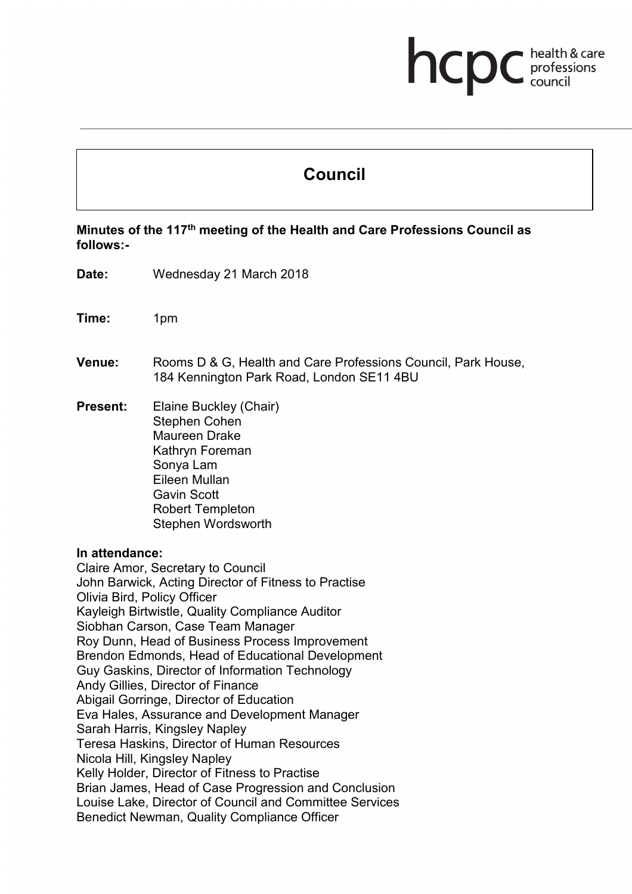# hcp health & care professions<br>council

# **Council**

**Minutes of the 117th meeting of the Health and Care Professions Council as follows:-**

- **Date:** Wednesday 21 March 2018
- **Time:** 1pm
- **Venue:** Rooms D & G, Health and Care Professions Council, Park House, 184 Kennington Park Road, London SE11 4BU
- **Present:** Elaine Buckley (Chair) Stephen Cohen Maureen Drake Kathryn Foreman Sonya Lam Eileen Mullan Gavin Scott Robert Templeton Stephen Wordsworth

#### **In attendance:**

Claire Amor, Secretary to Council John Barwick, Acting Director of Fitness to Practise Olivia Bird, Policy Officer Kayleigh Birtwistle, Quality Compliance Auditor Siobhan Carson, Case Team Manager Roy Dunn, Head of Business Process Improvement Brendon Edmonds, Head of Educational Development Guy Gaskins, Director of Information Technology Andy Gillies, Director of Finance Abigail Gorringe, Director of Education Eva Hales, Assurance and Development Manager Sarah Harris, Kingsley Napley Teresa Haskins, Director of Human Resources Nicola Hill, Kingsley Napley Kelly Holder, Director of Fitness to Practise Brian James, Head of Case Progression and Conclusion Louise Lake, Director of Council and Committee Services Benedict Newman, Quality Compliance Officer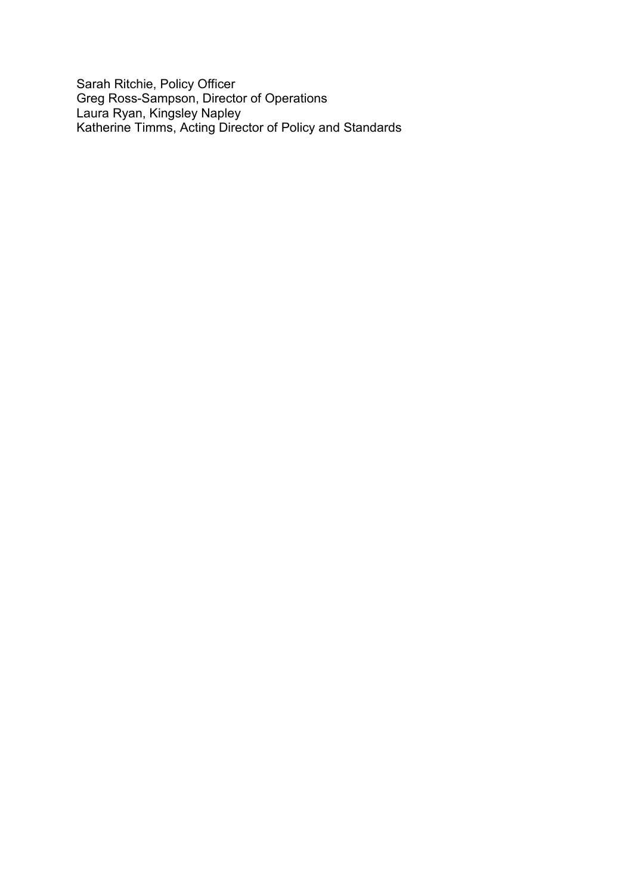Sarah Ritchie, Policy Officer Greg Ross-Sampson, Director of Operations Laura Ryan, Kingsley Napley Katherine Timms, Acting Director of Policy and Standards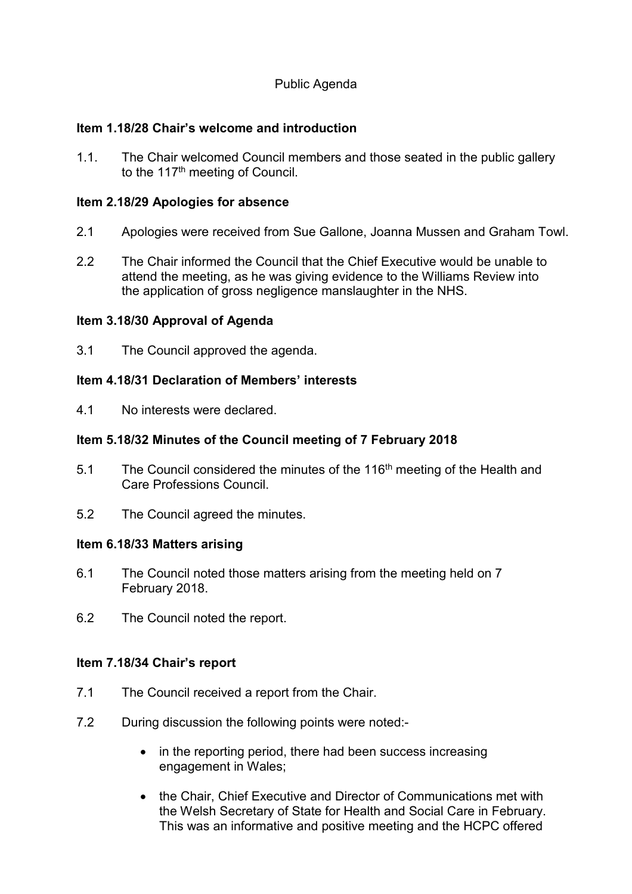# Public Agenda

# **Item 1.18/28 Chair's welcome and introduction**

1.1. The Chair welcomed Council members and those seated in the public gallery to the 117<sup>th</sup> meeting of Council.

# **Item 2.18/29 Apologies for absence**

- 2.1 Apologies were received from Sue Gallone, Joanna Mussen and Graham Towl.
- 2.2 The Chair informed the Council that the Chief Executive would be unable to attend the meeting, as he was giving evidence to the Williams Review into the application of gross negligence manslaughter in the NHS.

# **Item 3.18/30 Approval of Agenda**

3.1 The Council approved the agenda.

# **Item 4.18/31 Declaration of Members' interests**

4.1 No interests were declared.

# **Item 5.18/32 Minutes of the Council meeting of 7 February 2018**

- 5.1 The Council considered the minutes of the 116<sup>th</sup> meeting of the Health and Care Professions Council.
- 5.2 The Council agreed the minutes.

#### **Item 6.18/33 Matters arising**

- 6.1 The Council noted those matters arising from the meeting held on 7 February 2018.
- 6.2 The Council noted the report.

# **Item 7.18/34 Chair's report**

- 7.1 The Council received a report from the Chair.
- 7.2 During discussion the following points were noted:-
	- in the reporting period, there had been success increasing engagement in Wales;
	- the Chair, Chief Executive and Director of Communications met with the Welsh Secretary of State for Health and Social Care in February. This was an informative and positive meeting and the HCPC offered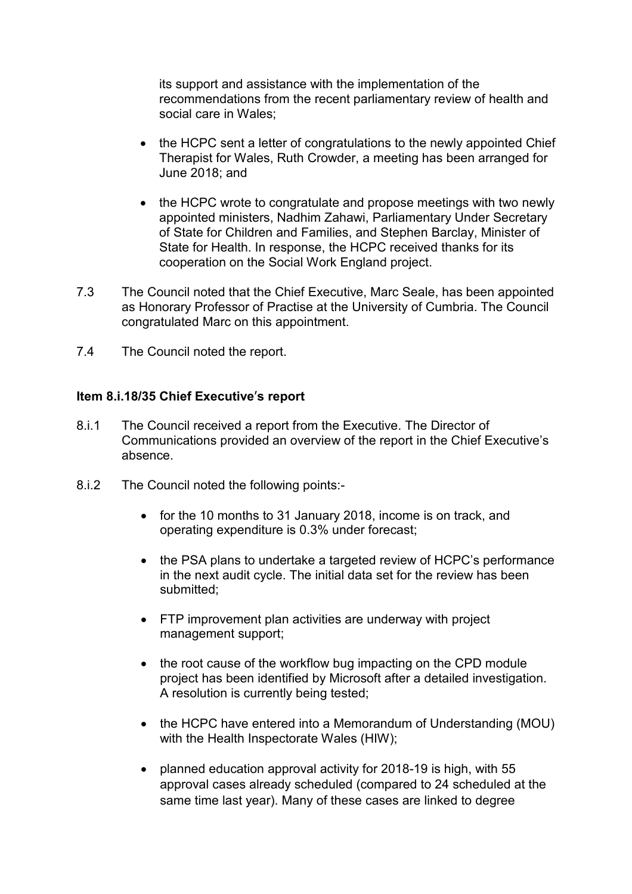its support and assistance with the implementation of the recommendations from the recent parliamentary review of health and social care in Wales;

- the HCPC sent a letter of congratulations to the newly appointed Chief Therapist for Wales, Ruth Crowder, a meeting has been arranged for June 2018; and
- the HCPC wrote to congratulate and propose meetings with two newly appointed ministers, Nadhim Zahawi, Parliamentary Under Secretary of State for Children and Families, and Stephen Barclay, Minister of State for Health. In response, the HCPC received thanks for its cooperation on the Social Work England project.
- 7.3 The Council noted that the Chief Executive, Marc Seale, has been appointed as Honorary Professor of Practise at the University of Cumbria. The Council congratulated Marc on this appointment.
- 7.4 The Council noted the report.

# **Item 8.i.18/35 Chief Executive**'**s report**

- 8.i.1 The Council received a report from the Executive. The Director of Communications provided an overview of the report in the Chief Executive's absence.
- 8.i.2 The Council noted the following points:-
	- for the 10 months to 31 January 2018, income is on track, and operating expenditure is 0.3% under forecast;
	- the PSA plans to undertake a targeted review of HCPC's performance in the next audit cycle. The initial data set for the review has been submitted;
	- FTP improvement plan activities are underway with project management support;
	- the root cause of the workflow bug impacting on the CPD module project has been identified by Microsoft after a detailed investigation. A resolution is currently being tested;
	- the HCPC have entered into a Memorandum of Understanding (MOU) with the Health Inspectorate Wales (HIW);
	- planned education approval activity for 2018-19 is high, with 55 approval cases already scheduled (compared to 24 scheduled at the same time last year). Many of these cases are linked to degree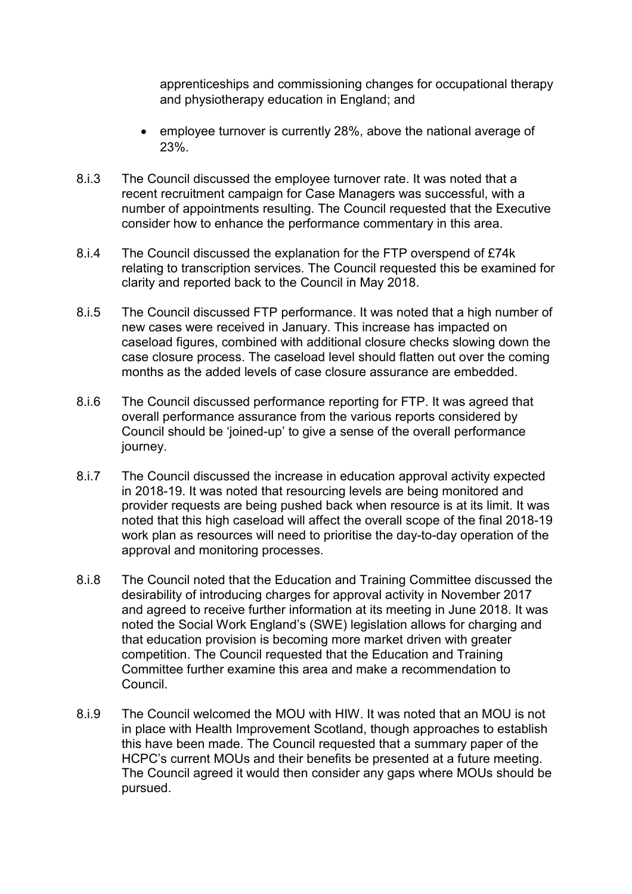apprenticeships and commissioning changes for occupational therapy and physiotherapy education in England; and

- employee turnover is currently 28%, above the national average of 23%.
- 8.i.3 The Council discussed the employee turnover rate. It was noted that a recent recruitment campaign for Case Managers was successful, with a number of appointments resulting. The Council requested that the Executive consider how to enhance the performance commentary in this area.
- 8.i.4 The Council discussed the explanation for the FTP overspend of £74k relating to transcription services. The Council requested this be examined for clarity and reported back to the Council in May 2018.
- 8.i.5 The Council discussed FTP performance. It was noted that a high number of new cases were received in January. This increase has impacted on caseload figures, combined with additional closure checks slowing down the case closure process. The caseload level should flatten out over the coming months as the added levels of case closure assurance are embedded.
- 8.i.6 The Council discussed performance reporting for FTP. It was agreed that overall performance assurance from the various reports considered by Council should be 'joined-up' to give a sense of the overall performance journey.
- 8.i.7 The Council discussed the increase in education approval activity expected in 2018-19. It was noted that resourcing levels are being monitored and provider requests are being pushed back when resource is at its limit. It was noted that this high caseload will affect the overall scope of the final 2018-19 work plan as resources will need to prioritise the day-to-day operation of the approval and monitoring processes.
- 8.i.8 The Council noted that the Education and Training Committee discussed the desirability of introducing charges for approval activity in November 2017 and agreed to receive further information at its meeting in June 2018. It was noted the Social Work England's (SWE) legislation allows for charging and that education provision is becoming more market driven with greater competition. The Council requested that the Education and Training Committee further examine this area and make a recommendation to Council.
- 8.i.9 The Council welcomed the MOU with HIW. It was noted that an MOU is not in place with Health Improvement Scotland, though approaches to establish this have been made. The Council requested that a summary paper of the HCPC's current MOUs and their benefits be presented at a future meeting. The Council agreed it would then consider any gaps where MOUs should be pursued.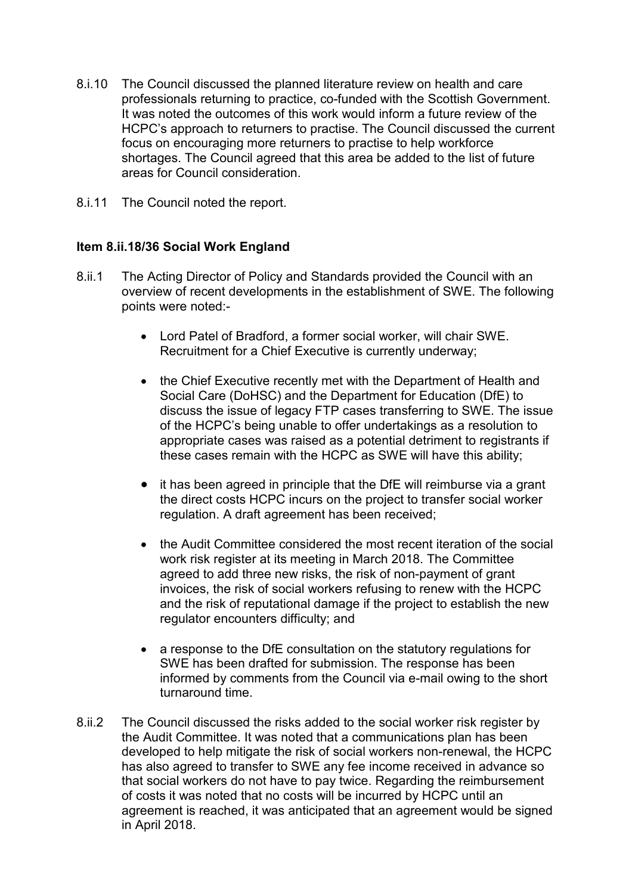- 8.i.10 The Council discussed the planned literature review on health and care professionals returning to practice, co-funded with the Scottish Government. It was noted the outcomes of this work would inform a future review of the HCPC's approach to returners to practise. The Council discussed the current focus on encouraging more returners to practise to help workforce shortages. The Council agreed that this area be added to the list of future areas for Council consideration.
- 8.i.11 The Council noted the report.

# **Item 8.ii.18/36 Social Work England**

- 8.ii.1 The Acting Director of Policy and Standards provided the Council with an overview of recent developments in the establishment of SWE. The following points were noted:-
	- Lord Patel of Bradford, a former social worker, will chair SWE. Recruitment for a Chief Executive is currently underway;
	- the Chief Executive recently met with the Department of Health and Social Care (DoHSC) and the Department for Education (DfE) to discuss the issue of legacy FTP cases transferring to SWE. The issue of the HCPC's being unable to offer undertakings as a resolution to appropriate cases was raised as a potential detriment to registrants if these cases remain with the HCPC as SWE will have this ability;
	- it has been agreed in principle that the DfE will reimburse via a grant the direct costs HCPC incurs on the project to transfer social worker regulation. A draft agreement has been received;
	- the Audit Committee considered the most recent iteration of the social work risk register at its meeting in March 2018. The Committee agreed to add three new risks, the risk of non-payment of grant invoices, the risk of social workers refusing to renew with the HCPC and the risk of reputational damage if the project to establish the new regulator encounters difficulty; and
	- a response to the DfE consultation on the statutory regulations for SWE has been drafted for submission. The response has been informed by comments from the Council via e-mail owing to the short turnaround time.
- 8.ii.2 The Council discussed the risks added to the social worker risk register by the Audit Committee. It was noted that a communications plan has been developed to help mitigate the risk of social workers non-renewal, the HCPC has also agreed to transfer to SWE any fee income received in advance so that social workers do not have to pay twice. Regarding the reimbursement of costs it was noted that no costs will be incurred by HCPC until an agreement is reached, it was anticipated that an agreement would be signed in April 2018.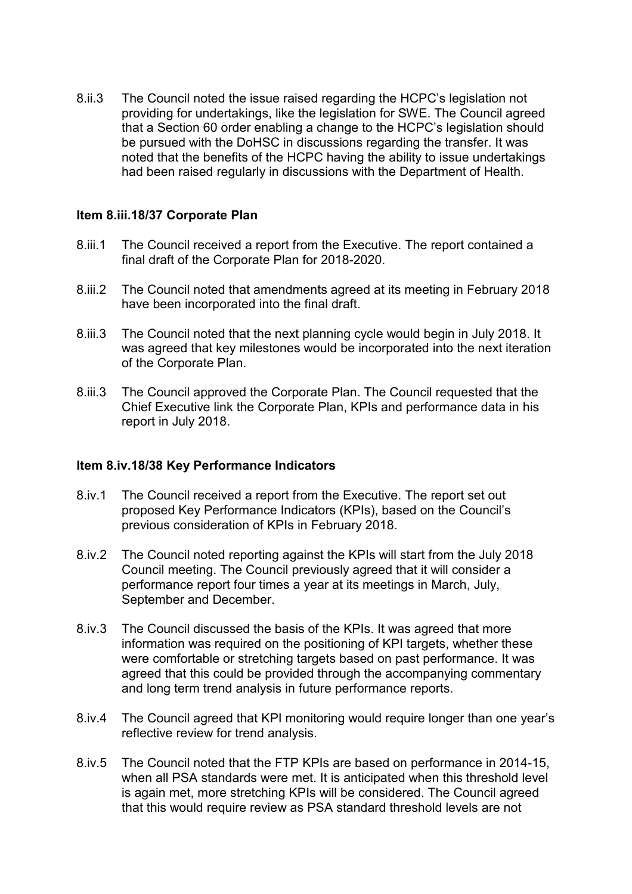8.ii.3 The Council noted the issue raised regarding the HCPC's legislation not providing for undertakings, like the legislation for SWE. The Council agreed that a Section 60 order enabling a change to the HCPC's legislation should be pursued with the DoHSC in discussions regarding the transfer. It was noted that the benefits of the HCPC having the ability to issue undertakings had been raised regularly in discussions with the Department of Health.

#### **Item 8.iii.18/37 Corporate Plan**

- 8.iii.1 The Council received a report from the Executive. The report contained a final draft of the Corporate Plan for 2018-2020.
- 8.iii.2 The Council noted that amendments agreed at its meeting in February 2018 have been incorporated into the final draft.
- 8.iii.3 The Council noted that the next planning cycle would begin in July 2018. It was agreed that key milestones would be incorporated into the next iteration of the Corporate Plan.
- 8.iii.3 The Council approved the Corporate Plan. The Council requested that the Chief Executive link the Corporate Plan, KPIs and performance data in his report in July 2018.

#### **Item 8.iv.18/38 Key Performance Indicators**

- 8.iv.1 The Council received a report from the Executive. The report set out proposed Key Performance Indicators (KPIs), based on the Council's previous consideration of KPIs in February 2018.
- 8.iv.2 The Council noted reporting against the KPIs will start from the July 2018 Council meeting. The Council previously agreed that it will consider a performance report four times a year at its meetings in March, July, September and December.
- 8.iv.3 The Council discussed the basis of the KPIs. It was agreed that more information was required on the positioning of KPI targets, whether these were comfortable or stretching targets based on past performance. It was agreed that this could be provided through the accompanying commentary and long term trend analysis in future performance reports.
- 8.iv.4 The Council agreed that KPI monitoring would require longer than one year's reflective review for trend analysis.
- 8.iv.5 The Council noted that the FTP KPIs are based on performance in 2014-15, when all PSA standards were met. It is anticipated when this threshold level is again met, more stretching KPIs will be considered. The Council agreed that this would require review as PSA standard threshold levels are not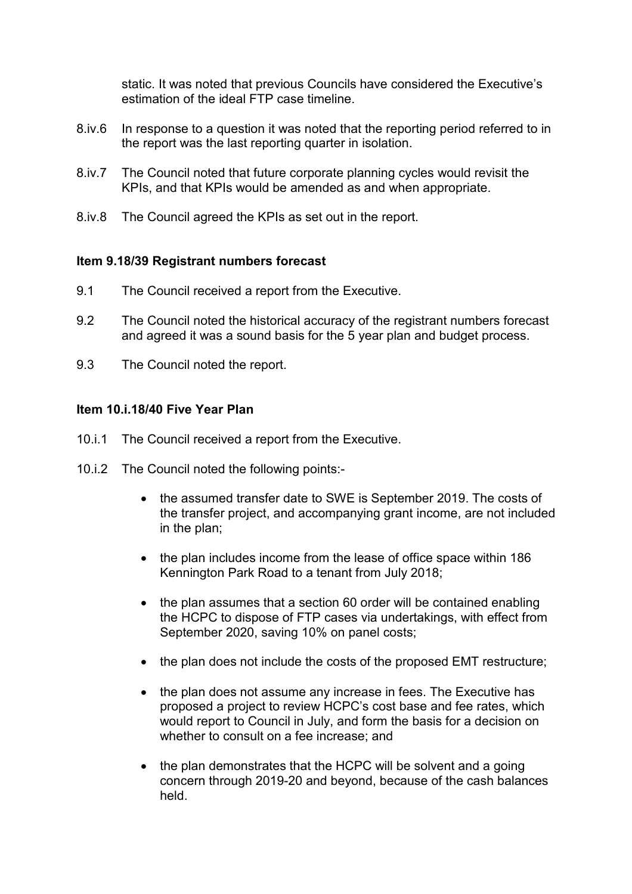static. It was noted that previous Councils have considered the Executive's estimation of the ideal FTP case timeline.

- 8.iv.6 In response to a question it was noted that the reporting period referred to in the report was the last reporting quarter in isolation.
- 8.iv.7 The Council noted that future corporate planning cycles would revisit the KPIs, and that KPIs would be amended as and when appropriate.
- 8.iv.8 The Council agreed the KPIs as set out in the report.

# **Item 9.18/39 Registrant numbers forecast**

- 9.1 The Council received a report from the Executive.
- 9.2 The Council noted the historical accuracy of the registrant numbers forecast and agreed it was a sound basis for the 5 year plan and budget process.
- 9.3 The Council noted the report.

# **Item 10.i.18/40 Five Year Plan**

- 10.i.1 The Council received a report from the Executive.
- 10.i.2 The Council noted the following points:-
	- the assumed transfer date to SWE is September 2019. The costs of the transfer project, and accompanying grant income, are not included in the plan;
	- the plan includes income from the lease of office space within 186 Kennington Park Road to a tenant from July 2018;
	- the plan assumes that a section 60 order will be contained enabling the HCPC to dispose of FTP cases via undertakings, with effect from September 2020, saving 10% on panel costs;
	- the plan does not include the costs of the proposed EMT restructure;
	- the plan does not assume any increase in fees. The Executive has proposed a project to review HCPC's cost base and fee rates, which would report to Council in July, and form the basis for a decision on whether to consult on a fee increase; and
	- the plan demonstrates that the HCPC will be solvent and a going concern through 2019-20 and beyond, because of the cash balances held.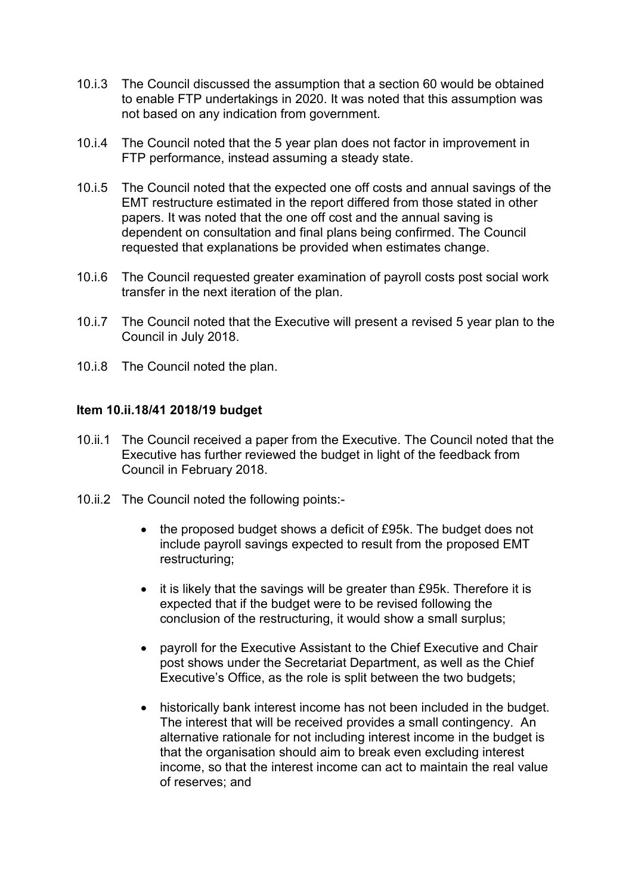- 10.i.3 The Council discussed the assumption that a section 60 would be obtained to enable FTP undertakings in 2020. It was noted that this assumption was not based on any indication from government.
- 10.i.4 The Council noted that the 5 year plan does not factor in improvement in FTP performance, instead assuming a steady state.
- 10.i.5 The Council noted that the expected one off costs and annual savings of the EMT restructure estimated in the report differed from those stated in other papers. It was noted that the one off cost and the annual saving is dependent on consultation and final plans being confirmed. The Council requested that explanations be provided when estimates change.
- 10.i.6 The Council requested greater examination of payroll costs post social work transfer in the next iteration of the plan.
- 10.i.7 The Council noted that the Executive will present a revised 5 year plan to the Council in July 2018.
- 10.i.8 The Council noted the plan.

#### **Item 10.ii.18/41 2018/19 budget**

- 10.ii.1 The Council received a paper from the Executive. The Council noted that the Executive has further reviewed the budget in light of the feedback from Council in February 2018.
- 10.ii.2 The Council noted the following points:-
	- the proposed budget shows a deficit of £95k. The budget does not include payroll savings expected to result from the proposed EMT restructuring;
	- it is likely that the savings will be greater than £95k. Therefore it is expected that if the budget were to be revised following the conclusion of the restructuring, it would show a small surplus;
	- payroll for the Executive Assistant to the Chief Executive and Chair post shows under the Secretariat Department, as well as the Chief Executive's Office, as the role is split between the two budgets;
	- historically bank interest income has not been included in the budget. The interest that will be received provides a small contingency. An alternative rationale for not including interest income in the budget is that the organisation should aim to break even excluding interest income, so that the interest income can act to maintain the real value of reserves; and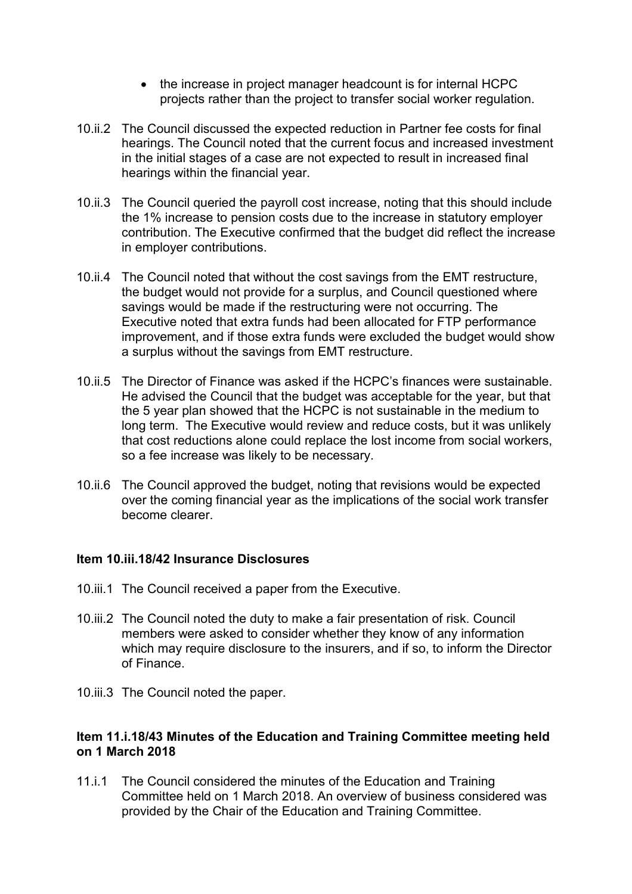- the increase in project manager headcount is for internal HCPC projects rather than the project to transfer social worker regulation.
- 10.ii.2 The Council discussed the expected reduction in Partner fee costs for final hearings. The Council noted that the current focus and increased investment in the initial stages of a case are not expected to result in increased final hearings within the financial year.
- 10.ii.3 The Council queried the payroll cost increase, noting that this should include the 1% increase to pension costs due to the increase in statutory employer contribution. The Executive confirmed that the budget did reflect the increase in employer contributions.
- 10.ii.4 The Council noted that without the cost savings from the EMT restructure, the budget would not provide for a surplus, and Council questioned where savings would be made if the restructuring were not occurring. The Executive noted that extra funds had been allocated for FTP performance improvement, and if those extra funds were excluded the budget would show a surplus without the savings from EMT restructure.
- 10.ii.5 The Director of Finance was asked if the HCPC's finances were sustainable. He advised the Council that the budget was acceptable for the year, but that the 5 year plan showed that the HCPC is not sustainable in the medium to long term. The Executive would review and reduce costs, but it was unlikely that cost reductions alone could replace the lost income from social workers, so a fee increase was likely to be necessary.
- 10.ii.6 The Council approved the budget, noting that revisions would be expected over the coming financial year as the implications of the social work transfer become clearer.

#### **Item 10.iii.18/42 Insurance Disclosures**

- 10.iii.1 The Council received a paper from the Executive.
- 10.iii.2 The Council noted the duty to make a fair presentation of risk. Council members were asked to consider whether they know of any information which may require disclosure to the insurers, and if so, to inform the Director of Finance.
- 10.iii.3 The Council noted the paper.

# **Item 11.i.18/43 Minutes of the Education and Training Committee meeting held on 1 March 2018**

11.i.1 The Council considered the minutes of the Education and Training Committee held on 1 March 2018. An overview of business considered was provided by the Chair of the Education and Training Committee.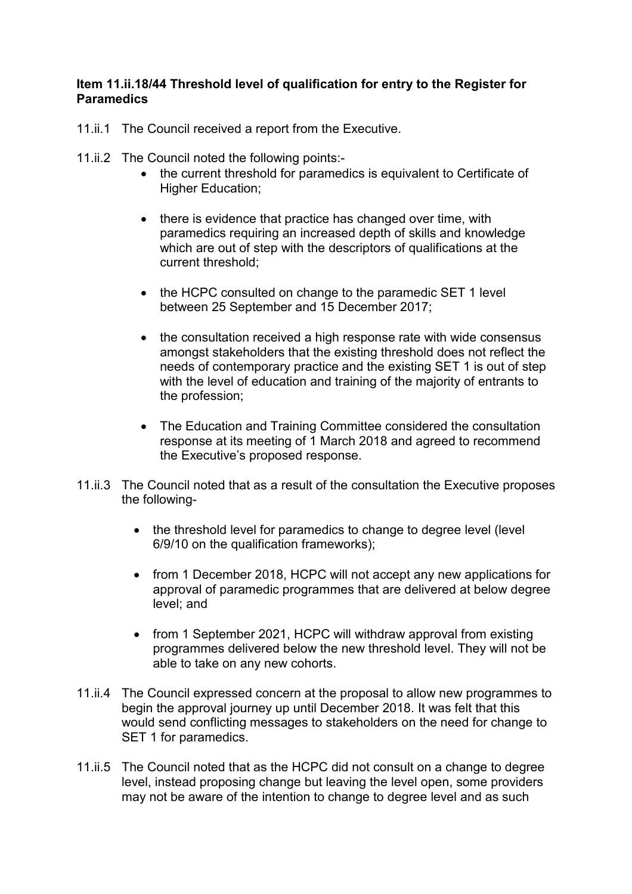## **Item 11.ii.18/44 Threshold level of qualification for entry to the Register for Paramedics**

- 11.ii.1 The Council received a report from the Executive.
- 11.ii.2 The Council noted the following points:-
	- the current threshold for paramedics is equivalent to Certificate of Higher Education;
	- there is evidence that practice has changed over time, with paramedics requiring an increased depth of skills and knowledge which are out of step with the descriptors of qualifications at the current threshold;
	- the HCPC consulted on change to the paramedic SET 1 level between 25 September and 15 December 2017;
	- the consultation received a high response rate with wide consensus amongst stakeholders that the existing threshold does not reflect the needs of contemporary practice and the existing SET 1 is out of step with the level of education and training of the majority of entrants to the profession;
	- The Education and Training Committee considered the consultation response at its meeting of 1 March 2018 and agreed to recommend the Executive's proposed response.
- 11.ii.3 The Council noted that as a result of the consultation the Executive proposes the following-
	- the threshold level for paramedics to change to degree level (level 6/9/10 on the qualification frameworks);
	- from 1 December 2018, HCPC will not accept any new applications for approval of paramedic programmes that are delivered at below degree level; and
	- from 1 September 2021, HCPC will withdraw approval from existing programmes delivered below the new threshold level. They will not be able to take on any new cohorts.
- 11.ii.4 The Council expressed concern at the proposal to allow new programmes to begin the approval journey up until December 2018. It was felt that this would send conflicting messages to stakeholders on the need for change to SET 1 for paramedics.
- 11.ii.5 The Council noted that as the HCPC did not consult on a change to degree level, instead proposing change but leaving the level open, some providers may not be aware of the intention to change to degree level and as such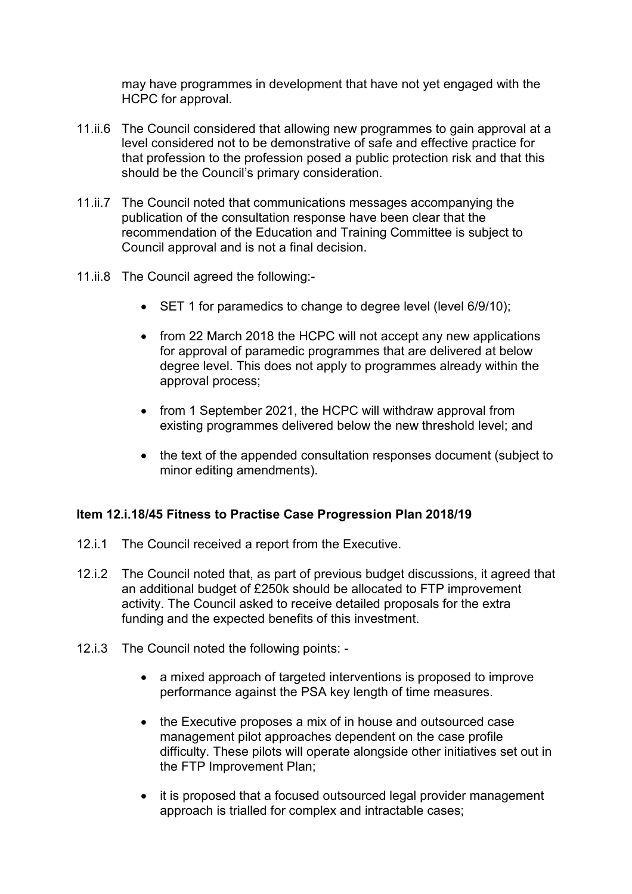may have programmes in development that have not yet engaged with the HCPC for approval.

- 11.ii.6 The Council considered that allowing new programmes to gain approval at a level considered not to be demonstrative of safe and effective practice for that profession to the profession posed a public protection risk and that this should be the Council's primary consideration.
- 11.ii.7 The Council noted that communications messages accompanying the publication of the consultation response have been clear that the recommendation of the Education and Training Committee is subject to Council approval and is not a final decision.
- 11.ii.8 The Council agreed the following:-
	- SET 1 for paramedics to change to degree level (level 6/9/10);
	- from 22 March 2018 the HCPC will not accept any new applications for approval of paramedic programmes that are delivered at below degree level. This does not apply to programmes already within the approval process;
	- from 1 September 2021, the HCPC will withdraw approval from existing programmes delivered below the new threshold level; and
	- the text of the appended consultation responses document (subject to minor editing amendments).

#### **Item 12.i.18/45 Fitness to Practise Case Progression Plan 2018/19**

- 12.i.1 The Council received a report from the Executive.
- 12.i.2 The Council noted that, as part of previous budget discussions, it agreed that an additional budget of £250k should be allocated to FTP improvement activity. The Council asked to receive detailed proposals for the extra funding and the expected benefits of this investment.
- 12.i.3 The Council noted the following points:
	- a mixed approach of targeted interventions is proposed to improve performance against the PSA key length of time measures.
	- the Executive proposes a mix of in house and outsourced case management pilot approaches dependent on the case profile difficulty. These pilots will operate alongside other initiatives set out in the FTP Improvement Plan;
	- it is proposed that a focused outsourced legal provider management approach is trialled for complex and intractable cases;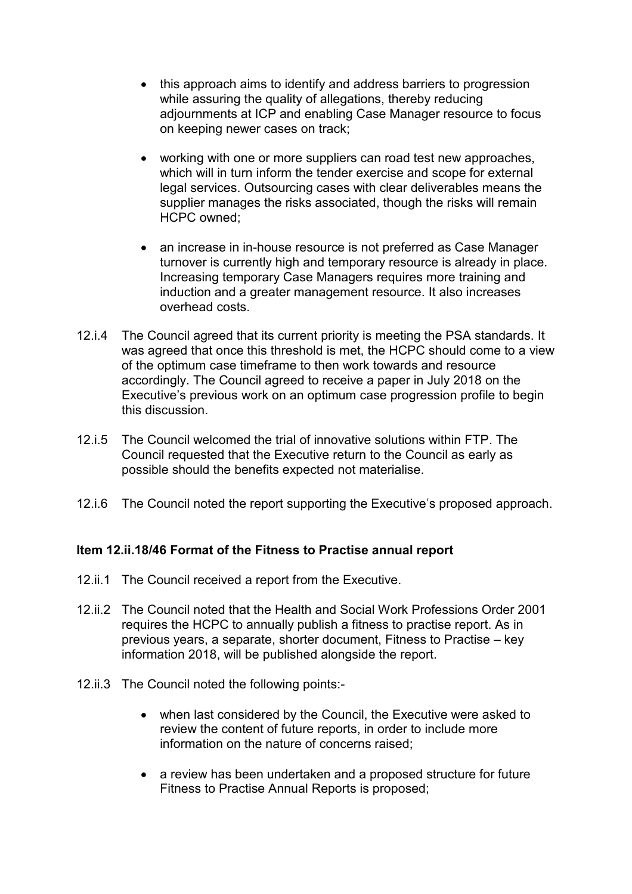- this approach aims to identify and address barriers to progression while assuring the quality of allegations, thereby reducing adjournments at ICP and enabling Case Manager resource to focus on keeping newer cases on track;
- working with one or more suppliers can road test new approaches, which will in turn inform the tender exercise and scope for external legal services. Outsourcing cases with clear deliverables means the supplier manages the risks associated, though the risks will remain HCPC owned;
- an increase in in-house resource is not preferred as Case Manager turnover is currently high and temporary resource is already in place. Increasing temporary Case Managers requires more training and induction and a greater management resource. It also increases overhead costs.
- 12.i.4 The Council agreed that its current priority is meeting the PSA standards. It was agreed that once this threshold is met, the HCPC should come to a view of the optimum case timeframe to then work towards and resource accordingly. The Council agreed to receive a paper in July 2018 on the Executive's previous work on an optimum case progression profile to begin this discussion.
- 12.i.5 The Council welcomed the trial of innovative solutions within FTP. The Council requested that the Executive return to the Council as early as possible should the benefits expected not materialise.
- 12.i.6 The Council noted the report supporting the Executive's proposed approach.

#### **Item 12.ii.18/46 Format of the Fitness to Practise annual report**

- 12.ii.1 The Council received a report from the Executive.
- 12.ii.2 The Council noted that the Health and Social Work Professions Order 2001 requires the HCPC to annually publish a fitness to practise report. As in previous years, a separate, shorter document, Fitness to Practise – key information 2018, will be published alongside the report.
- 12.ii.3 The Council noted the following points:-
	- when last considered by the Council, the Executive were asked to review the content of future reports, in order to include more information on the nature of concerns raised;
	- a review has been undertaken and a proposed structure for future Fitness to Practise Annual Reports is proposed;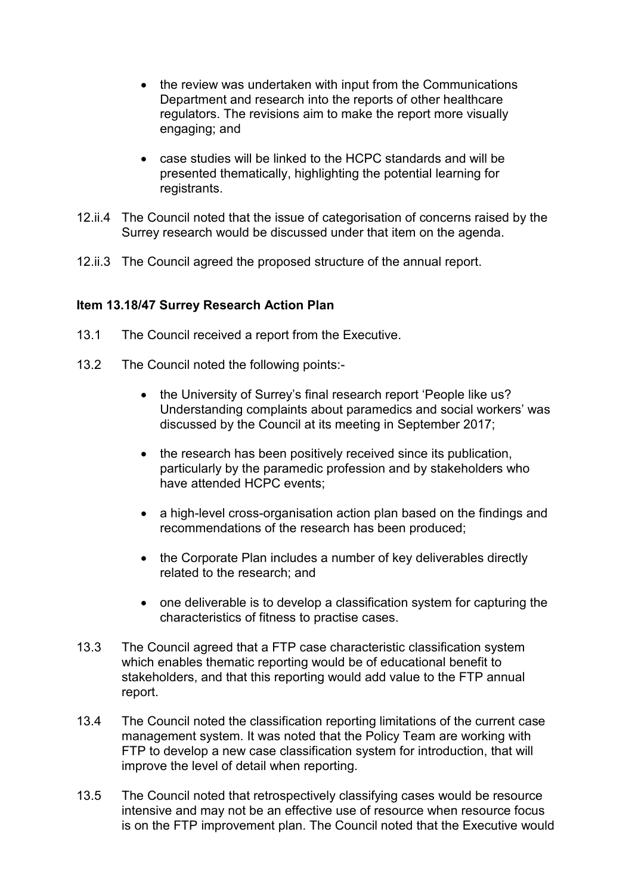- the review was undertaken with input from the Communications Department and research into the reports of other healthcare regulators. The revisions aim to make the report more visually engaging; and
- case studies will be linked to the HCPC standards and will be presented thematically, highlighting the potential learning for registrants.
- 12.ii.4 The Council noted that the issue of categorisation of concerns raised by the Surrey research would be discussed under that item on the agenda.
- 12.ii.3 The Council agreed the proposed structure of the annual report.

#### **Item 13.18/47 Surrey Research Action Plan**

- 13.1 The Council received a report from the Executive.
- 13.2 The Council noted the following points:-
	- the University of Surrey's final research report 'People like us? Understanding complaints about paramedics and social workers' was discussed by the Council at its meeting in September 2017;
	- the research has been positively received since its publication, particularly by the paramedic profession and by stakeholders who have attended HCPC events;
	- a high-level cross-organisation action plan based on the findings and recommendations of the research has been produced;
	- the Corporate Plan includes a number of key deliverables directly related to the research; and
	- one deliverable is to develop a classification system for capturing the characteristics of fitness to practise cases.
- 13.3 The Council agreed that a FTP case characteristic classification system which enables thematic reporting would be of educational benefit to stakeholders, and that this reporting would add value to the FTP annual report.
- 13.4 The Council noted the classification reporting limitations of the current case management system. It was noted that the Policy Team are working with FTP to develop a new case classification system for introduction, that will improve the level of detail when reporting.
- 13.5 The Council noted that retrospectively classifying cases would be resource intensive and may not be an effective use of resource when resource focus is on the FTP improvement plan. The Council noted that the Executive would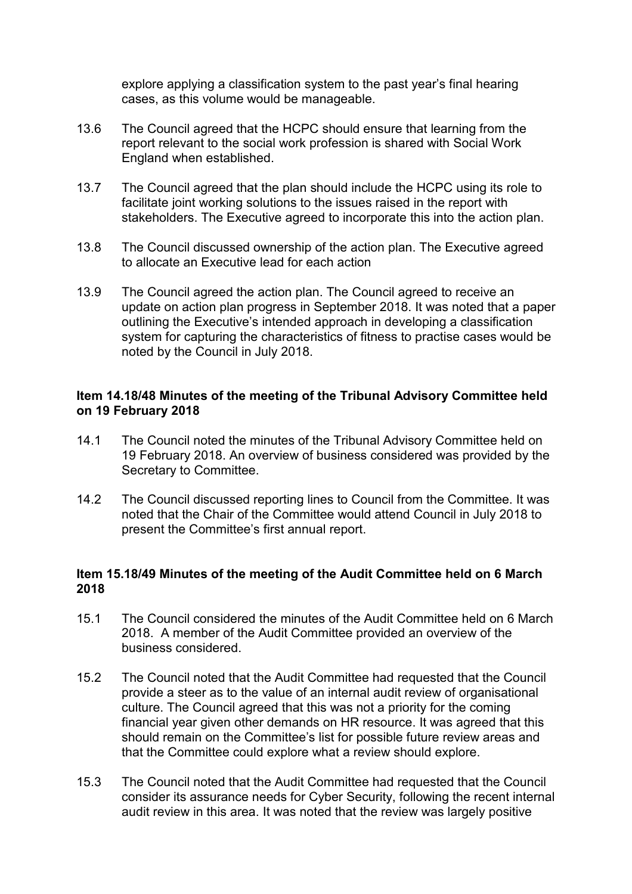explore applying a classification system to the past year's final hearing cases, as this volume would be manageable.

- 13.6 The Council agreed that the HCPC should ensure that learning from the report relevant to the social work profession is shared with Social Work England when established.
- 13.7 The Council agreed that the plan should include the HCPC using its role to facilitate joint working solutions to the issues raised in the report with stakeholders. The Executive agreed to incorporate this into the action plan.
- 13.8 The Council discussed ownership of the action plan. The Executive agreed to allocate an Executive lead for each action
- 13.9 The Council agreed the action plan. The Council agreed to receive an update on action plan progress in September 2018. It was noted that a paper outlining the Executive's intended approach in developing a classification system for capturing the characteristics of fitness to practise cases would be noted by the Council in July 2018.

## **Item 14.18/48 Minutes of the meeting of the Tribunal Advisory Committee held on 19 February 2018**

- 14.1 The Council noted the minutes of the Tribunal Advisory Committee held on 19 February 2018. An overview of business considered was provided by the Secretary to Committee.
- 14.2 The Council discussed reporting lines to Council from the Committee. It was noted that the Chair of the Committee would attend Council in July 2018 to present the Committee's first annual report.

# **Item 15.18/49 Minutes of the meeting of the Audit Committee held on 6 March 2018**

- 15.1 The Council considered the minutes of the Audit Committee held on 6 March 2018. A member of the Audit Committee provided an overview of the business considered.
- 15.2 The Council noted that the Audit Committee had requested that the Council provide a steer as to the value of an internal audit review of organisational culture. The Council agreed that this was not a priority for the coming financial year given other demands on HR resource. It was agreed that this should remain on the Committee's list for possible future review areas and that the Committee could explore what a review should explore.
- 15.3 The Council noted that the Audit Committee had requested that the Council consider its assurance needs for Cyber Security, following the recent internal audit review in this area. It was noted that the review was largely positive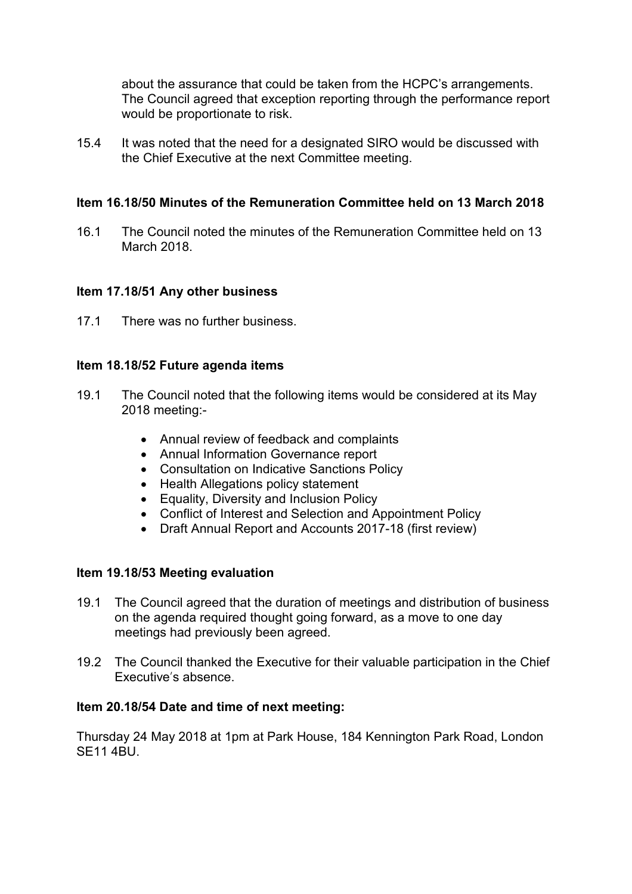about the assurance that could be taken from the HCPC's arrangements. The Council agreed that exception reporting through the performance report would be proportionate to risk.

15.4 It was noted that the need for a designated SIRO would be discussed with the Chief Executive at the next Committee meeting.

# **Item 16.18/50 Minutes of the Remuneration Committee held on 13 March 2018**

16.1 The Council noted the minutes of the Remuneration Committee held on 13 March 2018.

# **Item 17.18/51 Any other business**

17.1 There was no further business.

#### **Item 18.18/52 Future agenda items**

- 19.1 The Council noted that the following items would be considered at its May 2018 meeting:-
	- Annual review of feedback and complaints
	- Annual Information Governance report
	- Consultation on Indicative Sanctions Policy
	- Health Allegations policy statement
	- Equality, Diversity and Inclusion Policy
	- Conflict of Interest and Selection and Appointment Policy
	- Draft Annual Report and Accounts 2017-18 (first review)

#### **Item 19.18/53 Meeting evaluation**

- 19.1 The Council agreed that the duration of meetings and distribution of business on the agenda required thought going forward, as a move to one day meetings had previously been agreed.
- 19.2 The Council thanked the Executive for their valuable participation in the Chief Executive's absence.

#### **Item 20.18/54 Date and time of next meeting:**

Thursday 24 May 2018 at 1pm at Park House, 184 Kennington Park Road, London SE11 4BU.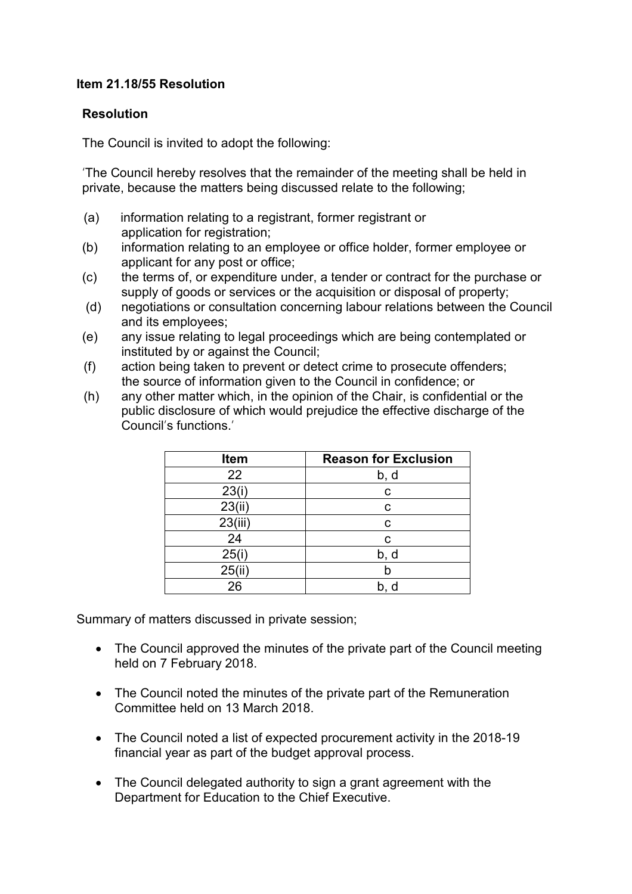# **Item 21.18/55 Resolution**

## **Resolution**

The Council is invited to adopt the following:

'The Council hereby resolves that the remainder of the meeting shall be held in private, because the matters being discussed relate to the following;

- (a) information relating to a registrant, former registrant or application for registration;
- (b) information relating to an employee or office holder, former employee or applicant for any post or office;
- (c) the terms of, or expenditure under, a tender or contract for the purchase or supply of goods or services or the acquisition or disposal of property;
- (d) negotiations or consultation concerning labour relations between the Council and its employees;
- (e) any issue relating to legal proceedings which are being contemplated or instituted by or against the Council;
- (f) action being taken to prevent or detect crime to prosecute offenders; the source of information given to the Council in confidence; or
- (h) any other matter which, in the opinion of the Chair, is confidential or the public disclosure of which would prejudice the effective discharge of the Council's functions.'

| Item    | <b>Reason for Exclusion</b> |
|---------|-----------------------------|
| 22      | b, d                        |
| 23(i)   | С                           |
| 23(ii)  | С                           |
| 23(iii) | C                           |
| 24      | С                           |
| 25(i)   | b, d                        |
| 25(ii)  |                             |
| 26      | b, d                        |

Summary of matters discussed in private session;

- The Council approved the minutes of the private part of the Council meeting held on 7 February 2018.
- The Council noted the minutes of the private part of the Remuneration Committee held on 13 March 2018.
- The Council noted a list of expected procurement activity in the 2018-19 financial year as part of the budget approval process.
- The Council delegated authority to sign a grant agreement with the Department for Education to the Chief Executive.